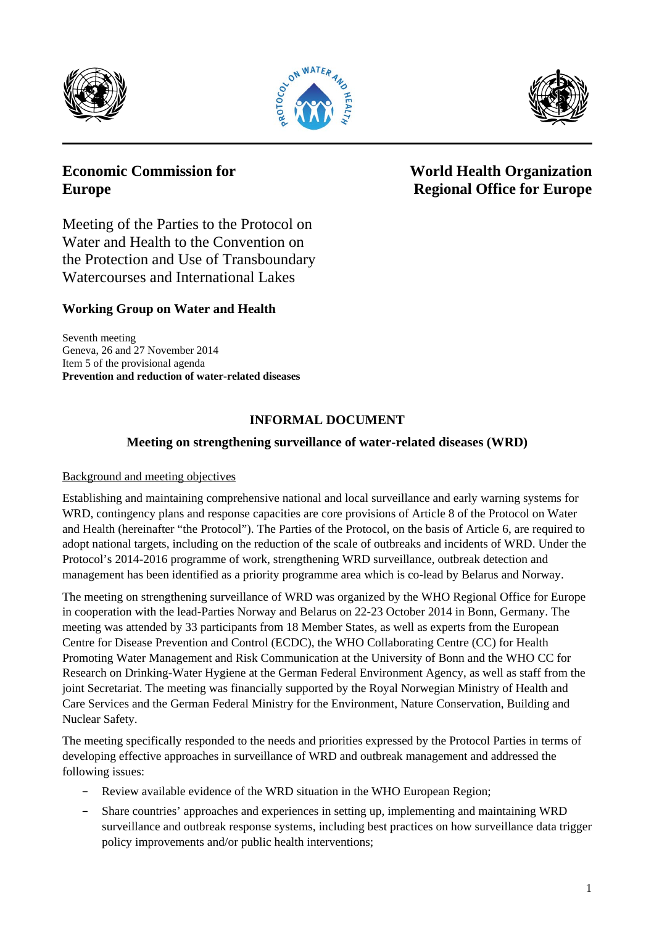





# **Economic Commission for Europe**

# **World Health Organization Regional Office for Europe**

Meeting of the Parties to the Protocol on Water and Health to the Convention on the Protection and Use of Transboundary Watercourses and International Lakes

## **Working Group on Water and Health**

Seventh meeting Geneva, 26 and 27 November 2014 Item 5 of the provisional agenda **Prevention and reduction of water-related diseases** 

### **INFORMAL DOCUMENT**

#### **Meeting on strengthening surveillance of water-related diseases (WRD)**

#### Background and meeting objectives

Establishing and maintaining comprehensive national and local surveillance and early warning systems for WRD, contingency plans and response capacities are core provisions of Article 8 of the Protocol on Water and Health (hereinafter "the Protocol"). The Parties of the Protocol, on the basis of Article 6, are required to adopt national targets, including on the reduction of the scale of outbreaks and incidents of WRD. Under the Protocol's 2014-2016 programme of work, strengthening WRD surveillance, outbreak detection and management has been identified as a priority programme area which is co-lead by Belarus and Norway.

The meeting on strengthening surveillance of WRD was organized by the WHO Regional Office for Europe in cooperation with the lead-Parties Norway and Belarus on 22-23 October 2014 in Bonn, Germany. The meeting was attended by 33 participants from 18 Member States, as well as experts from the European Centre for Disease Prevention and Control (ECDC), the WHO Collaborating Centre (CC) for Health Promoting Water Management and Risk Communication at the University of Bonn and the WHO CC for Research on Drinking-Water Hygiene at the German Federal Environment Agency, as well as staff from the joint Secretariat. The meeting was financially supported by the Royal Norwegian Ministry of Health and Care Services and the German Federal Ministry for the Environment, Nature Conservation, Building and Nuclear Safety.

The meeting specifically responded to the needs and priorities expressed by the Protocol Parties in terms of developing effective approaches in surveillance of WRD and outbreak management and addressed the following issues:

- Review available evidence of the WRD situation in the WHO European Region;
- − Share countries' approaches and experiences in setting up, implementing and maintaining WRD surveillance and outbreak response systems, including best practices on how surveillance data trigger policy improvements and/or public health interventions;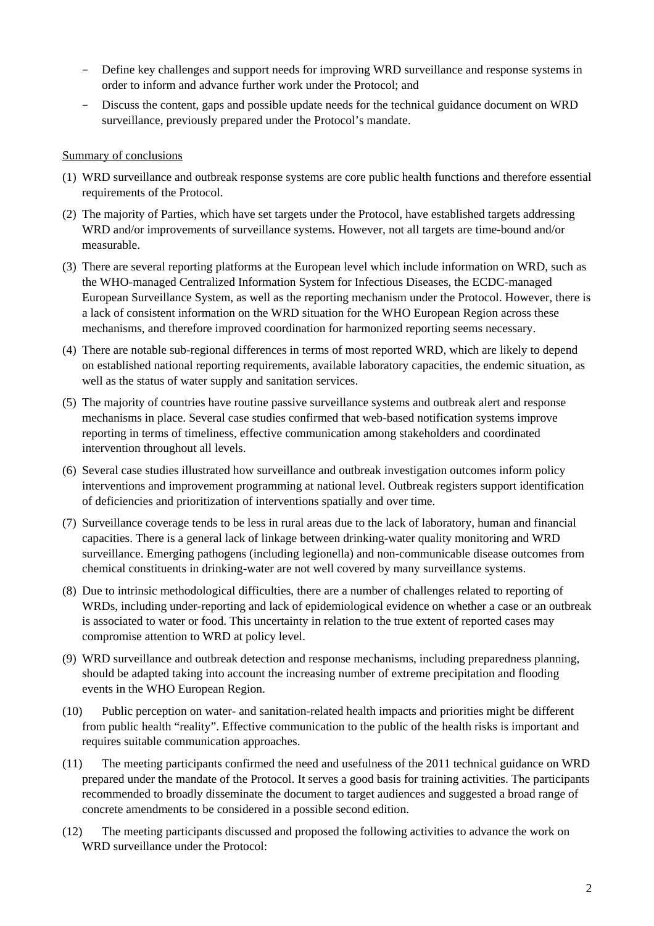- − Define key challenges and support needs for improving WRD surveillance and response systems in order to inform and advance further work under the Protocol; and
- − Discuss the content, gaps and possible update needs for the technical guidance document on WRD surveillance, previously prepared under the Protocol's mandate.

#### Summary of conclusions

- (1) WRD surveillance and outbreak response systems are core public health functions and therefore essential requirements of the Protocol.
- (2) The majority of Parties, which have set targets under the Protocol, have established targets addressing WRD and/or improvements of surveillance systems. However, not all targets are time-bound and/or measurable.
- (3) There are several reporting platforms at the European level which include information on WRD, such as the WHO-managed Centralized Information System for Infectious Diseases, the ECDC-managed European Surveillance System, as well as the reporting mechanism under the Protocol. However, there is a lack of consistent information on the WRD situation for the WHO European Region across these mechanisms, and therefore improved coordination for harmonized reporting seems necessary.
- (4) There are notable sub-regional differences in terms of most reported WRD, which are likely to depend on established national reporting requirements, available laboratory capacities, the endemic situation, as well as the status of water supply and sanitation services.
- (5) The majority of countries have routine passive surveillance systems and outbreak alert and response mechanisms in place. Several case studies confirmed that web-based notification systems improve reporting in terms of timeliness, effective communication among stakeholders and coordinated intervention throughout all levels.
- (6) Several case studies illustrated how surveillance and outbreak investigation outcomes inform policy interventions and improvement programming at national level. Outbreak registers support identification of deficiencies and prioritization of interventions spatially and over time.
- (7) Surveillance coverage tends to be less in rural areas due to the lack of laboratory, human and financial capacities. There is a general lack of linkage between drinking-water quality monitoring and WRD surveillance. Emerging pathogens (including legionella) and non-communicable disease outcomes from chemical constituents in drinking-water are not well covered by many surveillance systems.
- (8) Due to intrinsic methodological difficulties, there are a number of challenges related to reporting of WRDs, including under-reporting and lack of epidemiological evidence on whether a case or an outbreak is associated to water or food. This uncertainty in relation to the true extent of reported cases may compromise attention to WRD at policy level.
- (9) WRD surveillance and outbreak detection and response mechanisms, including preparedness planning, should be adapted taking into account the increasing number of extreme precipitation and flooding events in the WHO European Region.
- (10) Public perception on water- and sanitation-related health impacts and priorities might be different from public health "reality". Effective communication to the public of the health risks is important and requires suitable communication approaches.
- (11) The meeting participants confirmed the need and usefulness of the 2011 technical guidance on WRD prepared under the mandate of the Protocol. It serves a good basis for training activities. The participants recommended to broadly disseminate the document to target audiences and suggested a broad range of concrete amendments to be considered in a possible second edition.
- (12) The meeting participants discussed and proposed the following activities to advance the work on WRD surveillance under the Protocol: